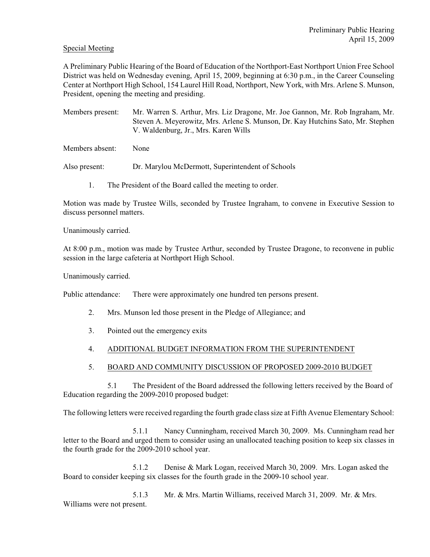#### Special Meeting

A Preliminary Public Hearing of the Board of Education of the Northport-East Northport Union Free School District was held on Wednesday evening, April 15, 2009, beginning at 6:30 p.m., in the Career Counseling Center at Northport High School, 154 Laurel Hill Road, Northport, New York, with Mrs. Arlene S. Munson, President, opening the meeting and presiding.

Members present: Mr. Warren S. Arthur, Mrs. Liz Dragone, Mr. Joe Gannon, Mr. Rob Ingraham, Mr. Steven A. Meyerowitz, Mrs. Arlene S. Munson, Dr. Kay Hutchins Sato, Mr. Stephen V. Waldenburg, Jr., Mrs. Karen Wills

Members absent: None

Also present: Dr. Marylou McDermott, Superintendent of Schools

1. The President of the Board called the meeting to order.

Motion was made by Trustee Wills, seconded by Trustee Ingraham, to convene in Executive Session to discuss personnel matters.

Unanimously carried.

At 8:00 p.m., motion was made by Trustee Arthur, seconded by Trustee Dragone, to reconvene in public session in the large cafeteria at Northport High School.

Unanimously carried.

Public attendance: There were approximately one hundred ten persons present.

- 2. Mrs. Munson led those present in the Pledge of Allegiance; and
- 3. Pointed out the emergency exits

### 4. ADDITIONAL BUDGET INFORMATION FROM THE SUPERINTENDENT

5. BOARD AND COMMUNITY DISCUSSION OF PROPOSED 2009-2010 BUDGET

5.1 The President of the Board addressed the following letters received by the Board of Education regarding the 2009-2010 proposed budget:

The following letters were received regarding the fourth grade class size at Fifth Avenue Elementary School:

5.1.1 Nancy Cunningham, received March 30, 2009. Ms. Cunningham read her letter to the Board and urged them to consider using an unallocated teaching position to keep six classes in the fourth grade for the 2009-2010 school year.

5.1.2 Denise & Mark Logan, received March 30, 2009. Mrs. Logan asked the Board to consider keeping six classes for the fourth grade in the 2009-10 school year.

5.1.3 Mr. & Mrs. Martin Williams, received March 31, 2009. Mr. & Mrs. Williams were not present.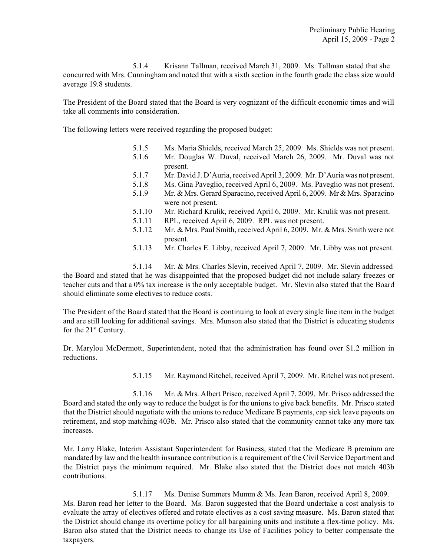5.1.4 Krisann Tallman, received March 31, 2009. Ms. Tallman stated that she concurred with Mrs. Cunningham and noted that with a sixth section in the fourth grade the class size would average 19.8 students.

The President of the Board stated that the Board is very cognizant of the difficult economic times and will take all comments into consideration.

The following letters were received regarding the proposed budget:

- 5.1.5 Ms. Maria Shields, received March 25, 2009. Ms. Shields was not present.
- 5.1.6 Mr. Douglas W. Duval, received March 26, 2009. Mr. Duval was not present.
- 5.1.7 Mr. David J. D'Auria, received April 3, 2009. Mr. D'Auria was not present.
- 5.1.8 Ms. Gina Paveglio, received April 6, 2009. Ms. Paveglio was not present.
- 5.1.9 Mr. & Mrs. Gerard Sparacino, received April 6, 2009. Mr & Mrs. Sparacino were not present.
- 5.1.10 Mr. Richard Krulik, received April 6, 2009. Mr. Krulik was not present.
- 5.1.11 RPL, received April 6, 2009. RPL was not present.
- 5.1.12 Mr. & Mrs. Paul Smith, received April 6, 2009. Mr. & Mrs. Smith were not present.
- 5.1.13 Mr. Charles E. Libby, received April 7, 2009. Mr. Libby was not present.

5.1.14 Mr. & Mrs. Charles Slevin, received April 7, 2009. Mr. Slevin addressed the Board and stated that he was disappointed that the proposed budget did not include salary freezes or teacher cuts and that a 0% tax increase is the only acceptable budget. Mr. Slevin also stated that the Board should eliminate some electives to reduce costs.

The President of the Board stated that the Board is continuing to look at every single line item in the budget and are still looking for additional savings. Mrs. Munson also stated that the District is educating students for the  $21<sup>st</sup>$  Century.

Dr. Marylou McDermott, Superintendent, noted that the administration has found over \$1.2 million in reductions.

5.1.15 Mr. Raymond Ritchel, received April 7, 2009. Mr. Ritchel was not present.

5.1.16 Mr. & Mrs. Albert Prisco, received April 7, 2009. Mr. Prisco addressed the Board and stated the only way to reduce the budget is for the unions to give back benefits. Mr. Prisco stated that the District should negotiate with the unions to reduce Medicare B payments, cap sick leave payouts on retirement, and stop matching 403b. Mr. Prisco also stated that the community cannot take any more tax increases.

Mr. Larry Blake, Interim Assistant Superintendent for Business, stated that the Medicare B premium are mandated by law and the health insurance contribution is a requirement of the Civil Service Department and the District pays the minimum required. Mr. Blake also stated that the District does not match 403b contributions.

5.1.17 Ms. Denise Summers Mumm & Ms. Jean Baron, received April 8, 2009. Ms. Baron read her letter to the Board. Ms. Baron suggested that the Board undertake a cost analysis to evaluate the array of electives offered and rotate electives as a cost saving measure. Ms. Baron stated that the District should change its overtime policy for all bargaining units and institute a flex-time policy. Ms. Baron also stated that the District needs to change its Use of Facilities policy to better compensate the taxpayers.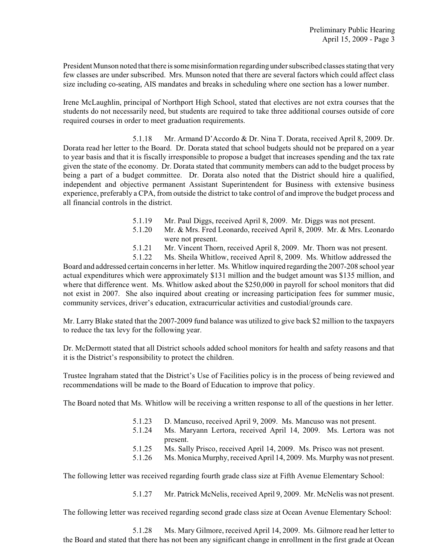President Munson noted that there is some misinformation regarding under subscribed classes stating that very few classes are under subscribed. Mrs. Munson noted that there are several factors which could affect class size including co-seating, AIS mandates and breaks in scheduling where one section has a lower number.

Irene McLaughlin, principal of Northport High School, stated that electives are not extra courses that the students do not necessarily need, but students are required to take three additional courses outside of core required courses in order to meet graduation requirements.

5.1.18 Mr. Armand D'Accordo & Dr. Nina T. Dorata, received April 8, 2009. Dr. Dorata read her letter to the Board. Dr. Dorata stated that school budgets should not be prepared on a year to year basis and that it is fiscally irresponsible to propose a budget that increases spending and the tax rate given the state of the economy. Dr. Dorata stated that community members can add to the budget process by being a part of a budget committee. Dr. Dorata also noted that the District should hire a qualified, independent and objective permanent Assistant Superintendent for Business with extensive business experience, preferably a CPA, from outside the district to take control of and improve the budget process and all financial controls in the district.

- 5.1.19 Mr. Paul Diggs, received April 8, 2009. Mr. Diggs was not present.
- 5.1.20 Mr. & Mrs. Fred Leonardo, received April 8, 2009. Mr. & Mrs. Leonardo were not present.
- 5.1.21 Mr. Vincent Thorn, received April 8, 2009. Mr. Thorn was not present.
- 5.1.22 Ms. Sheila Whitlow, received April 8, 2009. Ms. Whitlow addressed the

Board and addressed certain concerns in her letter. Ms. Whitlow inquired regarding the 2007-208 school year actual expenditures which were approximately \$131 million and the budget amount was \$135 million, and where that difference went. Ms. Whitlow asked about the \$250,000 in payroll for school monitors that did not exist in 2007. She also inquired about creating or increasing participation fees for summer music, community services, driver's education, extracurricular activities and custodial/grounds care.

Mr. Larry Blake stated that the 2007-2009 fund balance was utilized to give back \$2 million to the taxpayers to reduce the tax levy for the following year.

Dr. McDermott stated that all District schools added school monitors for health and safety reasons and that it is the District's responsibility to protect the children.

Trustee Ingraham stated that the District's Use of Facilities policy is in the process of being reviewed and recommendations will be made to the Board of Education to improve that policy.

The Board noted that Ms. Whitlow will be receiving a written response to all of the questions in her letter.

- 5.1.23 D. Mancuso, received April 9, 2009. Ms. Mancuso was not present.
- 5.1.24 Ms. Maryann Lertora, received April 14, 2009. Ms. Lertora was not present.
- 5.1.25 Ms. Sally Prisco, received April 14, 2009. Ms. Prisco was not present.
- 5.1.26 Ms. Monica Murphy,received April 14, 2009. Ms. Murphy was not present.

The following letter was received regarding fourth grade class size at Fifth Avenue Elementary School:

5.1.27 Mr. Patrick McNelis, received April 9, 2009. Mr. McNelis was not present.

The following letter was received regarding second grade class size at Ocean Avenue Elementary School:

5.1.28 Ms. Mary Gilmore, received April 14, 2009. Ms. Gilmore read her letter to the Board and stated that there has not been any significant change in enrollment in the first grade at Ocean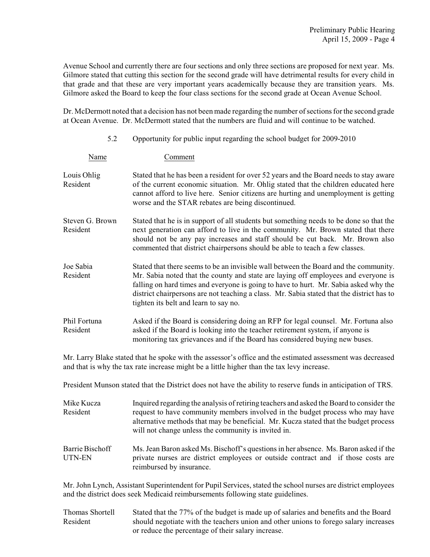Avenue School and currently there are four sections and only three sections are proposed for next year. Ms. Gilmore stated that cutting this section for the second grade will have detrimental results for every child in that grade and that these are very important years academically because they are transition years. Ms. Gilmore asked the Board to keep the four class sections for the second grade at Ocean Avenue School.

Dr. McDermott noted that a decision has not been made regarding the number of sections for the second grade at Ocean Avenue. Dr. McDermott stated that the numbers are fluid and will continue to be watched.

| 5.2                         | Opportunity for public input regarding the school budget for 2009-2010                                                                                                                                                                                                                                                                                                                                   |  |
|-----------------------------|----------------------------------------------------------------------------------------------------------------------------------------------------------------------------------------------------------------------------------------------------------------------------------------------------------------------------------------------------------------------------------------------------------|--|
| Name                        | Comment                                                                                                                                                                                                                                                                                                                                                                                                  |  |
| Louis Ohlig<br>Resident     | Stated that he has been a resident for over 52 years and the Board needs to stay aware<br>of the current economic situation. Mr. Ohlig stated that the children educated here<br>cannot afford to live here. Senior citizens are hurting and unemployment is getting<br>worse and the STAR rebates are being discontinued.                                                                               |  |
| Steven G. Brown<br>Resident | Stated that he is in support of all students but something needs to be done so that the<br>next generation can afford to live in the community. Mr. Brown stated that there<br>should not be any pay increases and staff should be cut back. Mr. Brown also<br>commented that district chairpersons should be able to teach a few classes.                                                               |  |
| Joe Sabia<br>Resident       | Stated that there seems to be an invisible wall between the Board and the community.<br>Mr. Sabia noted that the county and state are laying off employees and everyone is<br>falling on hard times and everyone is going to have to hurt. Mr. Sabia asked why the<br>district chairpersons are not teaching a class. Mr. Sabia stated that the district has to<br>tighten its belt and learn to say no. |  |
| Phil Fortuna<br>Resident    | Asked if the Board is considering doing an RFP for legal counsel. Mr. Fortuna also<br>asked if the Board is looking into the teacher retirement system, if anyone is<br>monitoring tax grievances and if the Board has considered buying new buses.                                                                                                                                                      |  |

Mr. Larry Blake stated that he spoke with the assessor's office and the estimated assessment was decreased and that is why the tax rate increase might be a little higher than the tax levy increase.

President Munson stated that the District does not have the ability to reserve funds in anticipation of TRS.

| Mike Kucza<br>Resident    | Inquired regarding the analysis of retiring teachers and asked the Board to consider the<br>request to have community members involved in the budget process who may have<br>alternative methods that may be beneficial. Mr. Kucza stated that the budget process<br>will not change unless the community is invited in. |  |
|---------------------------|--------------------------------------------------------------------------------------------------------------------------------------------------------------------------------------------------------------------------------------------------------------------------------------------------------------------------|--|
| Barrie Bischoff<br>UTN-EN | Ms. Jean Baron asked Ms. Bischoff's questions in her absence. Ms. Baron asked if the<br>private nurses are district employees or outside contract and if those costs are<br>reimbursed by insurance.                                                                                                                     |  |

Mr. John Lynch, Assistant Superintendent for Pupil Services, stated the school nurses are district employees and the district does seek Medicaid reimbursements following state guidelines.

Thomas Shortell Stated that the 77% of the budget is made up of salaries and benefits and the Board Resident should negotiate with the teachers union and other unions to forego salary increases or reduce the percentage of their salary increase.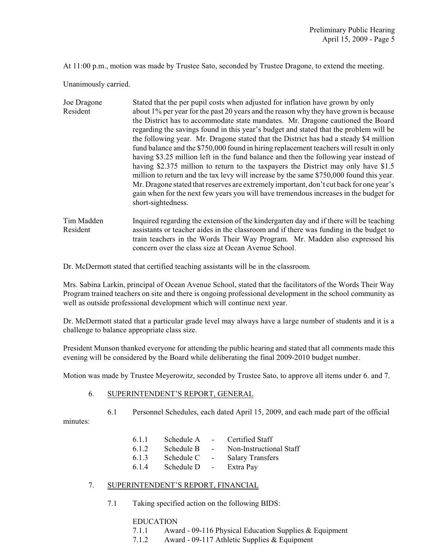At 11:00 p.m., motion was made by Trustee Sato, seconded by Trustee Dragone, to extend the meeting.

Unanimously carried.

| Joe Dragone             | Stated that the per pupil costs when adjusted for inflation have grown by only                                                                                                                                                                                                                                                                                                                                                                                                                                                                                                                                                                                                                                                    |
|-------------------------|-----------------------------------------------------------------------------------------------------------------------------------------------------------------------------------------------------------------------------------------------------------------------------------------------------------------------------------------------------------------------------------------------------------------------------------------------------------------------------------------------------------------------------------------------------------------------------------------------------------------------------------------------------------------------------------------------------------------------------------|
| Resident                | about 1% per year for the past 20 years and the reason why they have grown is because                                                                                                                                                                                                                                                                                                                                                                                                                                                                                                                                                                                                                                             |
|                         | the District has to accommodate state mandates. Mr. Dragone cautioned the Board<br>regarding the savings found in this year's budget and stated that the problem will be<br>the following year. Mr. Dragone stated that the District has had a steady \$4 million<br>fund balance and the \$750,000 found in hiring replacement teachers will result in only<br>having \$3.25 million left in the fund balance and then the following year instead of<br>having \$2.375 million to return to the taxpayers the District may only have \$1.5<br>million to return and the tax levy will increase by the same \$750,000 found this year.<br>Mr. Dragone stated that reserves are extremely important, don't cut back for one year's |
|                         | gain when for the next few years you will have tremendous increases in the budget for<br>short-sightedness.                                                                                                                                                                                                                                                                                                                                                                                                                                                                                                                                                                                                                       |
| $T_{\text{max}}$ Moddon | In quined no conding the extension of the linder content deventif there will be tooking                                                                                                                                                                                                                                                                                                                                                                                                                                                                                                                                                                                                                                           |

Tim Madden Inquired regarding the extension of the kindergarten day and if there will be teaching Resident assistants or teacher aides in the classroom and if there was funding in the budget to train teachers in the Words Their Way Program. Mr. Madden also expressed his concern over the class size at Ocean Avenue School.

Dr. McDermott stated that certified teaching assistants will be in the classroom.

Mrs. Sabina Larkin, principal of Ocean Avenue School, stated that the facilitators of the Words Their Way Program trained teachers on site and there is ongoing professional development in the school community as well as outside professional development which will continue next year.

Dr. McDermott stated that a particular grade level may always have a large number of students and it is a challenge to balance appropriate class size.

President Munson thanked everyone for attending the public hearing and stated that all comments made this evening will be considered by the Board while deliberating the final 2009-2010 budget number.

Motion was made by Trustee Meyerowitz, seconded by Trustee Sato, to approve all items under 6. and 7.

#### 6. SUPERINTENDENT'S REPORT, GENERAL

6.1 Personnel Schedules, each dated April 15, 2009, and each made part of the official minutes:

| 6.1.1 | Schedule A |        | Certified Staff         |
|-------|------------|--------|-------------------------|
| 6.1.2 | Schedule B | $\sim$ | Non-Instructional Staff |
|       |            |        |                         |

- 6.1.3 Schedule C Salary Transfers
- 6.1.4 Schedule D Extra Pay

### 7. SUPERINTENDENT'S REPORT, FINANCIAL

7.1 Taking specified action on the following BIDS:

### EDUCATION

- 7.1.1 Award 09-116 Physical Education Supplies & Equipment
- 7.1.2 Award 09-117 Athletic Supplies & Equipment